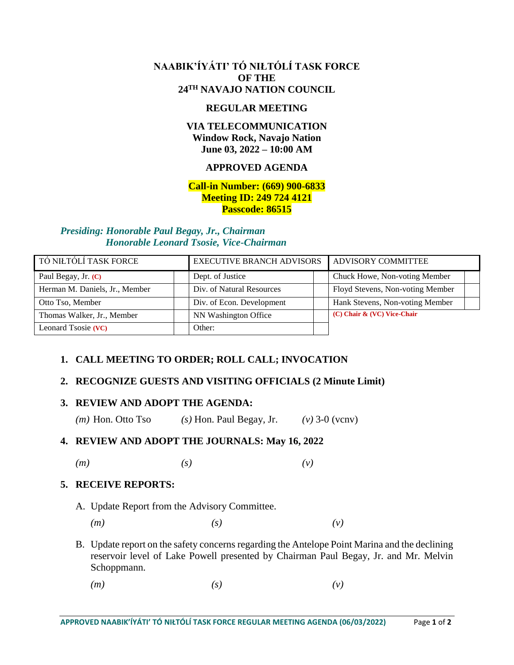## **NAABIK'ÍYÁTI' TÓ NIŁTÓLÍ TASK FORCE OF THE 24TH NAVAJO NATION COUNCIL**

#### **REGULAR MEETING**

## **VIA TELECOMMUNICATION Window Rock, Navajo Nation June 03, 2022 – 10:00 AM**

## **APPROVED AGENDA**

#### **Call-in Number: (669) 900-6833 Meeting ID: 249 724 4121 Passcode: 86515**

#### *Presiding: Honorable Paul Begay, Jr., Chairman Honorable Leonard Tsosie, Vice-Chairman*

| TÓ NIŁTÓLÍ TASK FORCE          | <b>EXECUTIVE BRANCH ADVISORS</b> | ADVISORY COMMITTEE               |  |
|--------------------------------|----------------------------------|----------------------------------|--|
| Paul Begay, Jr. (C)            | Dept. of Justice                 | Chuck Howe, Non-voting Member    |  |
| Herman M. Daniels, Jr., Member | Div. of Natural Resources        | Floyd Stevens, Non-voting Member |  |
| Otto Tso, Member               | Div. of Econ. Development        | Hank Stevens, Non-voting Member  |  |
| Thomas Walker, Jr., Member     | NN Washington Office             | (C) Chair & (VC) Vice-Chair      |  |
| Leonard Tsosie (VC)            | Other:                           |                                  |  |

## **1. CALL MEETING TO ORDER; ROLL CALL; INVOCATION**

## **2. RECOGNIZE GUESTS AND VISITING OFFICIALS (2 Minute Limit)**

## **3. REVIEW AND ADOPT THE AGENDA:**

*(m)* Hon. Otto Tso *(s)* Hon. Paul Begay, Jr. *(v)* 3-0 (vcnv)

## **4. REVIEW AND ADOPT THE JOURNALS: May 16, 2022**

*(m) (s) (v)*

## **5. RECEIVE REPORTS:**

- A. Update Report from the Advisory Committee.
	- *(m) (s) (v)*
- B. Update report on the safety concerns regarding the Antelope Point Marina and the declining reservoir level of Lake Powell presented by Chairman Paul Begay, Jr. and Mr. Melvin Schoppmann.
	- *(m) (s) (v)*